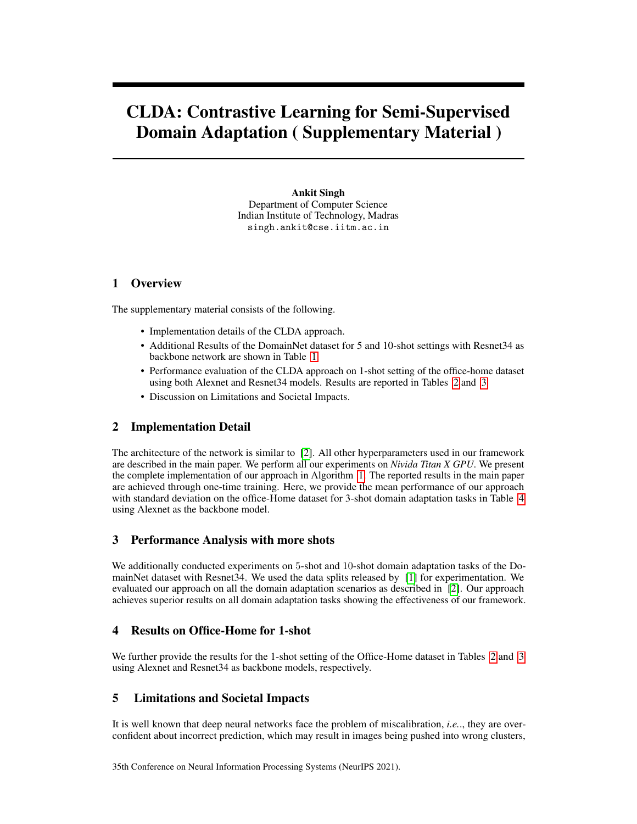# CLDA: Contrastive Learning for Semi-Supervised Domain Adaptation ( Supplementary Material )

Ankit Singh Department of Computer Science Indian Institute of Technology, Madras singh.ankit@cse.iitm.ac.in

#### 1 Overview

The supplementary material consists of the following.

- Implementation details of the CLDA approach.
- Additional Results of the DomainNet dataset for 5 and 10-shot settings with Resnet34 as backbone network are shown in Table [1.](#page-2-0)
- Performance evaluation of the CLDA approach on 1-shot setting of the office-home dataset using both Alexnet and Resnet34 models. Results are reported in Tables [2](#page-2-1) and [3](#page-2-2)
- Discussion on Limitations and Societal Impacts.

## 2 Implementation Detail

The architecture of the network is similar to [\[2\]](#page-1-0). All other hyperparameters used in our framework are described in the main paper. We perform all our experiments on *Nivida Titan X GPU*. We present the complete implementation of our approach in Algorithm [1.](#page-1-1) The reported results in the main paper are achieved through one-time training. Here, we provide the mean performance of our approach with standard deviation on the office-Home dataset for 3-shot domain adaptation tasks in Table [4](#page-3-0) using Alexnet as the backbone model.

## 3 Performance Analysis with more shots

We additionally conducted experiments on 5-shot and 10-shot domain adaptation tasks of the DomainNet dataset with Resnet34. We used the data splits released by [\[1\]](#page-1-2) for experimentation. We evaluated our approach on all the domain adaptation scenarios as described in [\[2\]](#page-1-0). Our approach achieves superior results on all domain adaptation tasks showing the effectiveness of our framework.

## 4 Results on Office-Home for 1-shot

We further provide the results for the 1-shot setting of the Office-Home dataset in Tables [2](#page-2-1) and [3](#page-2-2) using Alexnet and Resnet34 as backbone models, respectively.

## 5 Limitations and Societal Impacts

It is well known that deep neural networks face the problem of miscalibration, *i.e.*., they are overconfident about incorrect prediction, which may result in images being pushed into wrong clusters,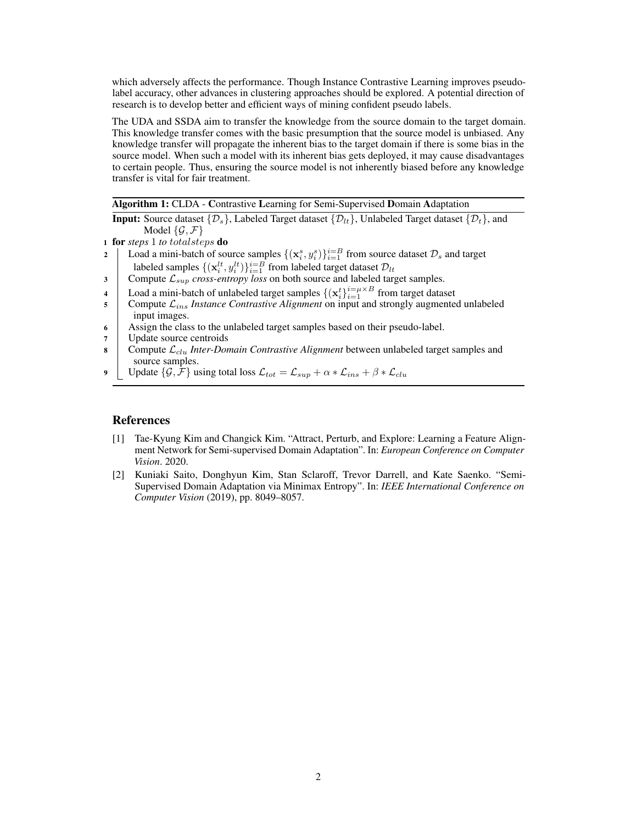which adversely affects the performance. Though Instance Contrastive Learning improves pseudolabel accuracy, other advances in clustering approaches should be explored. A potential direction of research is to develop better and efficient ways of mining confident pseudo labels.

The UDA and SSDA aim to transfer the knowledge from the source domain to the target domain. This knowledge transfer comes with the basic presumption that the source model is unbiased. Any knowledge transfer will propagate the inherent bias to the target domain if there is some bias in the source model. When such a model with its inherent bias gets deployed, it may cause disadvantages to certain people. Thus, ensuring the source model is not inherently biased before any knowledge transfer is vital for fair treatment.

Algorithm 1: CLDA - Contrastive Learning for Semi-Supervised Domain Adaptation

**Input:** Source dataset  $\{\mathcal{D}_s\}$ , Labeled Target dataset  $\{\mathcal{D}_t\}$ , Unlabeled Target dataset  $\{\mathcal{D}_t\}$ , and Model  $\{\mathcal{G}, \mathcal{F}\}\$ 

<sup>1</sup> for *steps* 1 *to* totalsteps do

- 2 Load a mini-batch of source samples  $\{(\mathbf{x}_i^s, y_i^s)\}_{i=1}^{i=B}$  from source dataset  $\mathcal{D}_s$  and target labeled samples  $\{(\mathbf{x}_i^{lt}, y_i^{lt})\}_{i=1}^{i=B}$  from labeled target dataset  $\mathcal{D}_{lt}$
- 3 Compute  $\mathcal{L}_{sup}$  *cross-entropy loss* on both source and labeled target samples.
- 4 Load a mini-batch of unlabeled target samples  $\{(\mathbf{x}_i^t)\}_{i=1}^{i=\mu \times B}$  from target dataset
- $5$  Compute  $\mathcal{L}_{ins}$  *Instance Contrastive Alignment* on input and strongly augmented unlabeled input images.
- <sup>6</sup> Assign the class to the unlabeled target samples based on their pseudo-label.
- <sup>7</sup> Update source centroids
- 8 Compute  $\mathcal{L}_{clu}$  *Inter-Domain Contrastive Alignment* between unlabeled target samples and source samples.
- <span id="page-1-1"></span>9 Update  $\{\mathcal{G}, \mathcal{F}\}\$ using total loss  $\mathcal{L}_{tot} = \mathcal{L}_{sup} + \alpha * \mathcal{L}_{ins} + \beta * \mathcal{L}_{clu}$

#### References

- <span id="page-1-2"></span>[1] Tae-Kyung Kim and Changick Kim. "Attract, Perturb, and Explore: Learning a Feature Alignment Network for Semi-supervised Domain Adaptation". In: *European Conference on Computer Vision*. 2020.
- <span id="page-1-0"></span>[2] Kuniaki Saito, Donghyun Kim, Stan Sclaroff, Trevor Darrell, and Kate Saenko. "Semi-Supervised Domain Adaptation via Minimax Entropy". In: *IEEE International Conference on Computer Vision* (2019), pp. 8049–8057.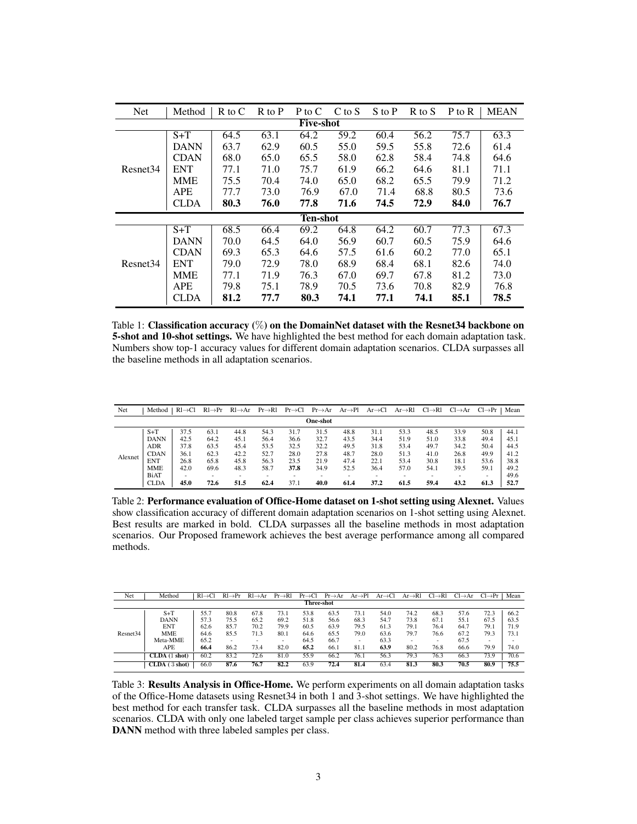<span id="page-2-0"></span>

| <b>Net</b>           | Method      | $R$ to $C$ | $R$ to $P$ | P to C          | C to S | S to P | $R$ to $S$ | P to R | <b>MEAN</b> |  |  |  |
|----------------------|-------------|------------|------------|-----------------|--------|--------|------------|--------|-------------|--|--|--|
| <b>Five-shot</b>     |             |            |            |                 |        |        |            |        |             |  |  |  |
| Resnet <sub>34</sub> | $S+T$       | 64.5       | 63.1       | 64.2            | 59.2   | 60.4   | 56.2       | 75.7   | 63.3        |  |  |  |
|                      | <b>DANN</b> | 63.7       | 62.9       | 60.5            | 55.0   | 59.5   | 55.8       | 72.6   | 61.4        |  |  |  |
|                      | CDAN        | 68.0       | 65.0       | 65.5            | 58.0   | 62.8   | 58.4       | 74.8   | 64.6        |  |  |  |
|                      | <b>ENT</b>  | 77.1       | 71.0       | 75.7            | 61.9   | 66.2   | 64.6       | 81.1   | 71.1        |  |  |  |
|                      | MME         | 75.5       | 70.4       | 74.0            | 65.0   | 68.2   | 65.5       | 79.9   | 71.2        |  |  |  |
|                      | <b>APE</b>  | 77.7       | 73.0       | 76.9            | 67.0   | 71.4   | 68.8       | 80.5   | 73.6        |  |  |  |
|                      | CLDA        | 80.3       | 76.0       | 77.8            | 71.6   | 74.5   | 72.9       | 84.0   | 76.7        |  |  |  |
|                      |             |            |            | <b>Ten-shot</b> |        |        |            |        |             |  |  |  |
|                      | $S+T$       | 68.5       | 66.4       | 69.2            | 64.8   | 64.2   | 60.7       | 77.3   | 67.3        |  |  |  |
|                      | <b>DANN</b> | 70.0       | 64.5       | 64.0            | 56.9   | 60.7   | 60.5       | 75.9   | 64.6        |  |  |  |
|                      | <b>CDAN</b> | 69.3       | 65.3       | 64.6            | 57.5   | 61.6   | 60.2       | 77.0   | 65.1        |  |  |  |
| Resnet <sub>34</sub> | <b>ENT</b>  | 79.0       | 72.9       | 78.0            | 68.9   | 68.4   | 68.1       | 82.6   | 74.0        |  |  |  |
|                      | MME         | 77.1       | 71.9       | 76.3            | 67.0   | 69.7   | 67.8       | 81.2   | 73.0        |  |  |  |
|                      | APE         | 79.8       | 75.1       | 78.9            | 70.5   | 73.6   | 70.8       | 82.9   | 76.8        |  |  |  |
|                      | CLDA        | 81.2       | 77.7       | 80.3            | 74.1   | 77.1   | 74.1       | 85.1   | 78.5        |  |  |  |

Table 1: Classification accuracy (%) on the DomainNet dataset with the Resnet34 backbone on 5-shot and 10-shot settings. We have highlighted the best method for each domain adaptation task. Numbers show top-1 accuracy values for different domain adaptation scenarios. CLDA surpasses all the baseline methods in all adaptation scenarios.

<span id="page-2-1"></span>

| Net      | Method      | $RI \rightarrow Cl$ | $R1 \rightarrow Pr$ | $RI \rightarrow Ar$ | $Pr \rightarrow R1$ | $Pr \rightarrow Cl$ | $Pr \rightarrow Ar$ | $Ar \rightarrow Pl$ | $Ar \rightarrow Cl$ | $Ar \rightarrow R1$ | $Cl \rightarrow R1$ | $Cl \rightarrow Ar$ | $Cl \rightarrow Pr$ | Mean |
|----------|-------------|---------------------|---------------------|---------------------|---------------------|---------------------|---------------------|---------------------|---------------------|---------------------|---------------------|---------------------|---------------------|------|
| One-shot |             |                     |                     |                     |                     |                     |                     |                     |                     |                     |                     |                     |                     |      |
|          | $S+T$       | 37.5                | 63.1                | 44.8                | 54.3                | 31.7                | 31.5                | 48.8                | 31.1                | 53.3                | 48.5                | 33.9                | 50.8                | 44.1 |
| Alexnet  | <b>DANN</b> | 42.5                | 64.2                | 45.1                | 56.4                | 36.6                | 32.7                | 43.5                | 34.4                | 51.9                | 51.0                | 33.8                | 49.4                | 45.1 |
|          | <b>ADR</b>  | 37.8                | 63.5                | 45.4                | 53.5                | 32.5                | 32.2                | 49.5                | 31.8                | 53.4                | 49.7                | 34.2                | 50.4                | 44.5 |
|          | <b>CDAN</b> | 36.1                | 62.3                | 42.2                | 52.7                | 28.0                | 27.8                | 48.7                | 28.0                | 51.3                | 41.0                | 26.8                | 49.9                | 41.2 |
|          | ENT         | 26.8                | 65.8                | 45.8                | 56.3                | 23.5                | 21.9                | 47.4                | 22.1                | 53.4                | 30.8                | 18.1                | 53.6                | 38.8 |
|          | <b>MME</b>  | 42.0                | 69.6                | 48.3                | 58.7                | 37.8                | 34.9                | 52.5                | 36.4                | 57.0                | 54.1                | 39.5                | 59.1                | 49.2 |
|          | BiAT        |                     |                     | ۰                   | ۰                   |                     |                     |                     |                     |                     |                     |                     |                     | 49.6 |
|          | <b>CLDA</b> | 45.0                | 72.6                | 51.5                | 62.4                | 37.1                | 40.0                | 61.4                | 37.2                | 61.5                | 59.4                | 43.2                | 61.3                | 52.7 |

Table 2: Performance evaluation of Office-Home dataset on 1-shot setting using Alexnet. Values show classification accuracy of different domain adaptation scenarios on 1-shot setting using Alexnet. Best results are marked in bold. CLDA surpasses all the baseline methods in most adaptation scenarios. Our Proposed framework achieves the best average performance among all compared methods.

<span id="page-2-2"></span>

| Net                  | Method        | $RI \rightarrow Cl$ | $Rl \rightarrow Pr$ | $Rl \rightarrow Ar$ | $Pr \rightarrow R1$ | $Pr \rightarrow Cl$ | $Pr \rightarrow Ar$ | $Ar \rightarrow Pl$ | $Ar \rightarrow Cl$ | $Ar \rightarrow Rl$ | $Cl \rightarrow Rl$ | $Cl \rightarrow Ar$ | $Cl \rightarrow Pr$ | Mean |
|----------------------|---------------|---------------------|---------------------|---------------------|---------------------|---------------------|---------------------|---------------------|---------------------|---------------------|---------------------|---------------------|---------------------|------|
| Three-shot           |               |                     |                     |                     |                     |                     |                     |                     |                     |                     |                     |                     |                     |      |
|                      | $S+T$         | 55.7                | 80.8                | 67.8                | 73.1                | 53.8                | 63.5                | 73.1                | 54.0                | 74.2                | 68.3                | 57.6                | 72.3                | 66.2 |
|                      | <b>DANN</b>   | 57.3                | 75.5                | 65.2                | 69.2                | 51.8                | 56.6                | 68.3                | 54.7                | 73.8                | 67.1                | 55.1                | 67.5                | 63.5 |
|                      | <b>ENT</b>    | 62.6                | 85.7                | 70.2                | 79.9                | 60.5                | 63.9                | 79.5                | 61.3                | 79.1                | 76.4                | 64.7                | 79.1                | 71.9 |
| Resnet <sub>34</sub> | <b>MME</b>    | 64.6                | 85.5                | 71.3                | 80.1                | 64.6                | 65.5                | 79.0                | 63.6                | 79.7                | 76.6                | 67.2                | 79.3                | 73.1 |
|                      | Meta-MME      | 65.2                |                     |                     |                     | 64.5                | 66.7                | -                   | 63.3                | -                   |                     | 67.5                | -                   |      |
|                      | APE           | 66.4                | 86.2                | 73.4                | 82.0                | 65.2                | 66.1                | 81.1                | 63.9                | 80.2                | 76.8                | 66.6                | 79.9                | 74.0 |
|                      | CLDA (1 shot) | 60.2                | 83.2                | 72.6                | 81.0                | 55.9                | 66.2                | 76.1                | 56.3                | 79.3                | 76.3                | 66.3                | 73.9                | 70.6 |
|                      | CLDA(3 shot)  | 66.0                | 87.6                | 76.7                | 82.2                | 63.9                | 72.4                | 81.4                | 63.4                | 81.3                | 80.3                | 70.5                | 80.9                | 75.5 |

Table 3: Results Analysis in Office-Home. We perform experiments on all domain adaptation tasks of the Office-Home datasets using Resnet34 in both 1 and 3-shot settings. We have highlighted the best method for each transfer task. CLDA surpasses all the baseline methods in most adaptation scenarios. CLDA with only one labeled target sample per class achieves superior performance than DANN method with three labeled samples per class.